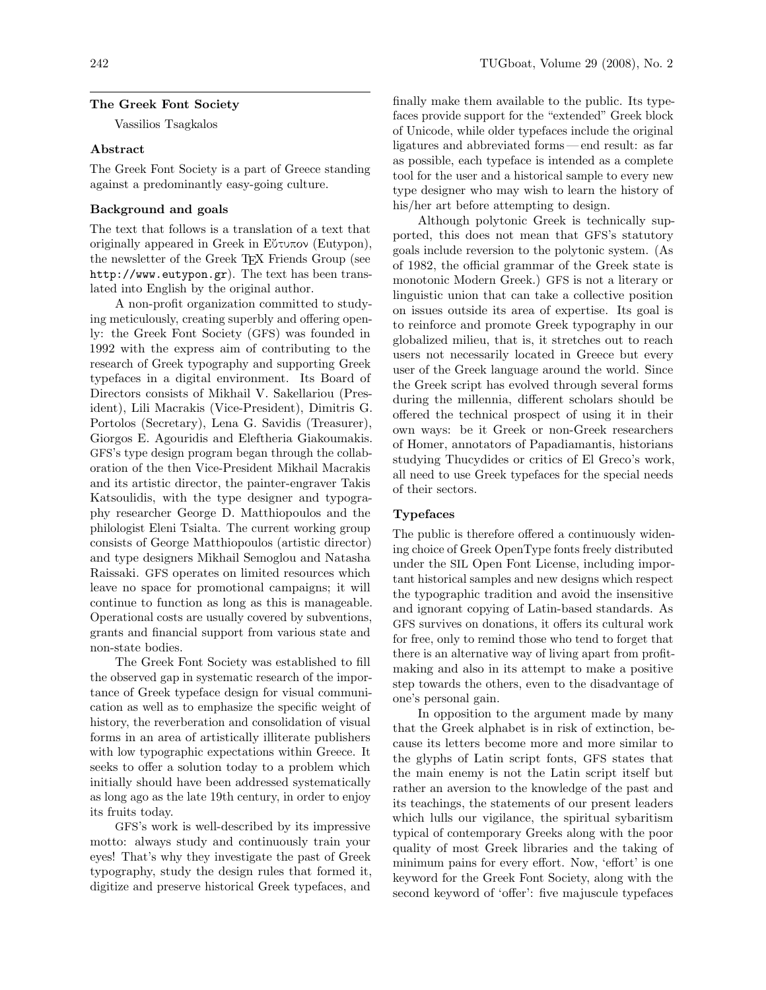## The Greek Font Society

Vassilios Tsagkalos

## Abstract

The Greek Font Society is a part of Greece standing against a predominantly easy-going culture.

# Background and goals

The text that follows is a translation of a text that originally appeared in Greek in Εὔτυπον (Eutypon), the newsletter of the Greek TEX Friends Group (see <http://www.eutypon.gr>). The text has been translated into English by the original author.

A non-profit organization committed to studying meticulously, creating superbly and offering openly: the Greek Font Society (GFS) was founded in 1992 with the express aim of contributing to the research of Greek typography and supporting Greek typefaces in a digital environment. Its Board of Directors consists of Mikhail V. Sakellariou (President), Lili Macrakis (Vice-President), Dimitris G. Portolos (Secretary), Lena G. Savidis (Treasurer), Giorgos E. Agouridis and Eleftheria Giakoumakis. GFS's type design program began through the collaboration of the then Vice-President Mikhail Macrakis and its artistic director, the painter-engraver Takis Katsoulidis, with the type designer and typography researcher George D. Matthiopoulos and the philologist Eleni Tsialta. The current working group consists of George Matthiopoulos (artistic director) and type designers Mikhail Semoglou and Natasha Raissaki. GFS operates on limited resources which leave no space for promotional campaigns; it will continue to function as long as this is manageable. Operational costs are usually covered by subventions, grants and financial support from various state and non-state bodies.

The Greek Font Society was established to fill the observed gap in systematic research of the importance of Greek typeface design for visual communication as well as to emphasize the specific weight of history, the reverberation and consolidation of visual forms in an area of artistically illiterate publishers with low typographic expectations within Greece. It seeks to offer a solution today to a problem which initially should have been addressed systematically as long ago as the late 19th century, in order to enjoy its fruits today.

GFS's work is well-described by its impressive motto: always study and continuously train your eyes! That's why they investigate the past of Greek typography, study the design rules that formed it, digitize and preserve historical Greek typefaces, and

finally make them available to the public. Its typefaces provide support for the "extended" Greek block of Unicode, while older typefaces include the original ligatures and abbreviated forms — end result: as far as possible, each typeface is intended as a complete tool for the user and a historical sample to every new type designer who may wish to learn the history of his/her art before attempting to design.

Although polytonic Greek is technically supported, this does not mean that GFS's statutory goals include reversion to the polytonic system. (As of 1982, the official grammar of the Greek state is monotonic Modern Greek.) GFS is not a literary or linguistic union that can take a collective position on issues outside its area of expertise. Its goal is to reinforce and promote Greek typography in our globalized milieu, that is, it stretches out to reach users not necessarily located in Greece but every user of the Greek language around the world. Since the Greek script has evolved through several forms during the millennia, different scholars should be offered the technical prospect of using it in their own ways: be it Greek or non-Greek researchers of Homer, annotators of Papadiamantis, historians studying Thucydides or critics of El Greco's work, all need to use Greek typefaces for the special needs of their sectors.

## Typefaces

The public is therefore offered a continuously widening choice of Greek OpenType fonts freely distributed under the SIL Open Font License, including important historical samples and new designs which respect the typographic tradition and avoid the insensitive and ignorant copying of Latin-based standards. As GFS survives on donations, it offers its cultural work for free, only to remind those who tend to forget that there is an alternative way of living apart from profitmaking and also in its attempt to make a positive step towards the others, even to the disadvantage of one's personal gain.

In opposition to the argument made by many that the Greek alphabet is in risk of extinction, because its letters become more and more similar to the glyphs of Latin script fonts, GFS states that the main enemy is not the Latin script itself but rather an aversion to the knowledge of the past and its teachings, the statements of our present leaders which lulls our vigilance, the spiritual sybaritism typical of contemporary Greeks along with the poor quality of most Greek libraries and the taking of minimum pains for every effort. Now, 'effort' is one keyword for the Greek Font Society, along with the second keyword of 'offer': five majuscule typefaces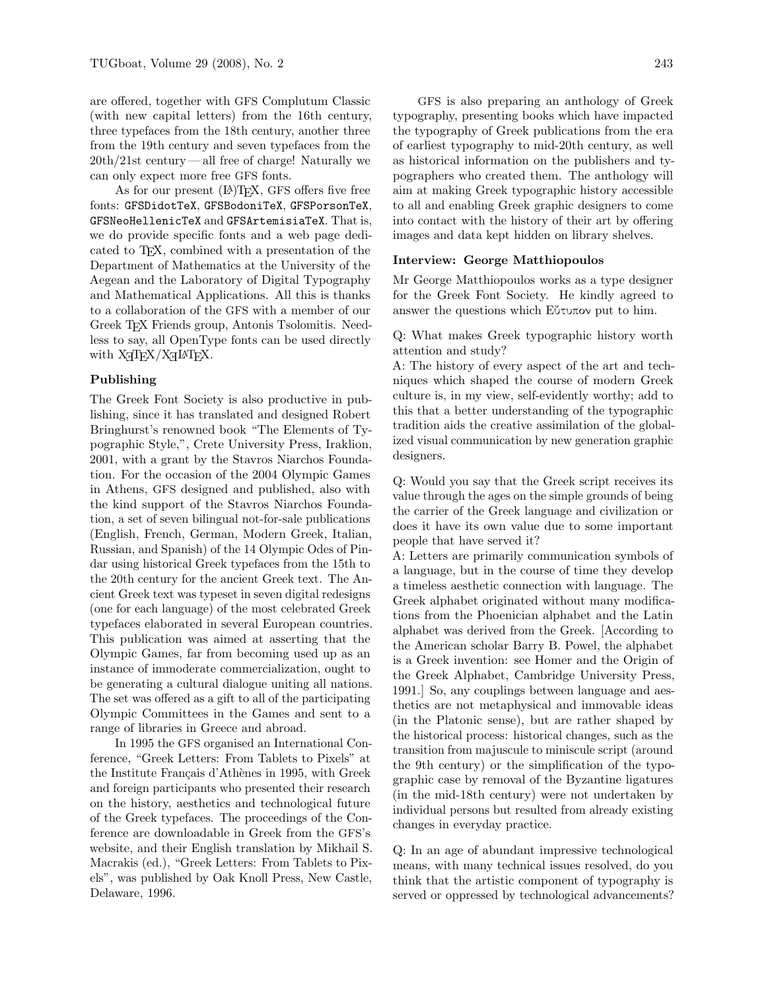are offered, together with GFS Complutum Classic (with new capital letters) from the 16th century, three typefaces from the 18th century, another three from the 19th century and seven typefaces from the 20th/21st century — all free of charge! Naturally we can only expect more free GFS fonts.

As for our present  $(A)$ T<sub>F</sub>X, GFS offers five free fonts: GFSDidotTeX, GFSBodoniTeX, GFSPorsonTeX, GFSNeoHellenicTeX and GFSArtemisiaTeX. That is, we do provide specific fonts and a web page dedicated to TEX, combined with a presentation of the Department of Mathematics at the University of the Aegean and the Laboratory of Digital Typography and Mathematical Applications. All this is thanks to a collaboration of the GFS with a member of our Greek TEX Friends group, Antonis Tsolomitis. Needless to say, all OpenType fonts can be used directly with X TEEX/X <sup>E</sup>LATEX.

## Publishing

The Greek Font Society is also productive in publishing, since it has translated and designed Robert Bringhurst's renowned book "The Elements of Typographic Style,", Crete University Press, Iraklion, 2001, with a grant by the Stavros Niarchos Foundation. For the occasion of the 2004 Olympic Games in Athens, GFS designed and published, also with the kind support of the Stavros Niarchos Foundation, a set of seven bilingual not-for-sale publications (English, French, German, Modern Greek, Italian, Russian, and Spanish) of the 14 Olympic Odes of Pindar using historical Greek typefaces from the 15th to the 20th century for the ancient Greek text. The Ancient Greek text was typeset in seven digital redesigns (one for each language) of the most celebrated Greek typefaces elaborated in several European countries. This publication was aimed at asserting that the Olympic Games, far from becoming used up as an instance of immoderate commercialization, ought to be generating a cultural dialogue uniting all nations. The set was offered as a gift to all of the participating Olympic Committees in the Games and sent to a range of libraries in Greece and abroad.

In 1995 the GFS organised an International Conference, "Greek Letters: From Tablets to Pixels" at the Institute Français d'Athènes in 1995, with Greek and foreign participants who presented their research on the history, aesthetics and technological future of the Greek typefaces. The proceedings of the Conference are downloadable in Greek from the GFS's website, and their English translation by Mikhail S. Macrakis (ed.), "Greek Letters: From Tablets to Pixels", was published by Oak Knoll Press, New Castle, Delaware, 1996.

GFS is also preparing an anthology of Greek typography, presenting books which have impacted the typography of Greek publications from the era of earliest typography to mid-20th century, as well as historical information on the publishers and typographers who created them. The anthology will aim at making Greek typographic history accessible to all and enabling Greek graphic designers to come into contact with the history of their art by offering images and data kept hidden on library shelves.

## Interview: George Matthiopoulos

Mr George Matthiopoulos works as a type designer for the Greek Font Society. He kindly agreed to answer the questions which Εὔτυπον put to him.

Q: What makes Greek typographic history worth attention and study?

A: The history of every aspect of the art and techniques which shaped the course of modern Greek culture is, in my view, self-evidently worthy; add to this that a better understanding of the typographic tradition aids the creative assimilation of the globalized visual communication by new generation graphic designers.

Q: Would you say that the Greek script receives its value through the ages on the simple grounds of being the carrier of the Greek language and civilization or does it have its own value due to some important people that have served it?

A: Letters are primarily communication symbols of a language, but in the course of time they develop a timeless aesthetic connection with language. The Greek alphabet originated without many modifications from the Phoenician alphabet and the Latin alphabet was derived from the Greek. [According to the American scholar Barry B. Powel, the alphabet is a Greek invention: see Homer and the Origin of the Greek Alphabet, Cambridge University Press, 1991.] So, any couplings between language and aesthetics are not metaphysical and immovable ideas (in the Platonic sense), but are rather shaped by the historical process: historical changes, such as the transition from majuscule to miniscule script (around the 9th century) or the simplification of the typographic case by removal of the Byzantine ligatures (in the mid-18th century) were not undertaken by individual persons but resulted from already existing changes in everyday practice.

Q: In an age of abundant impressive technological means, with many technical issues resolved, do you think that the artistic component of typography is served or oppressed by technological advancements?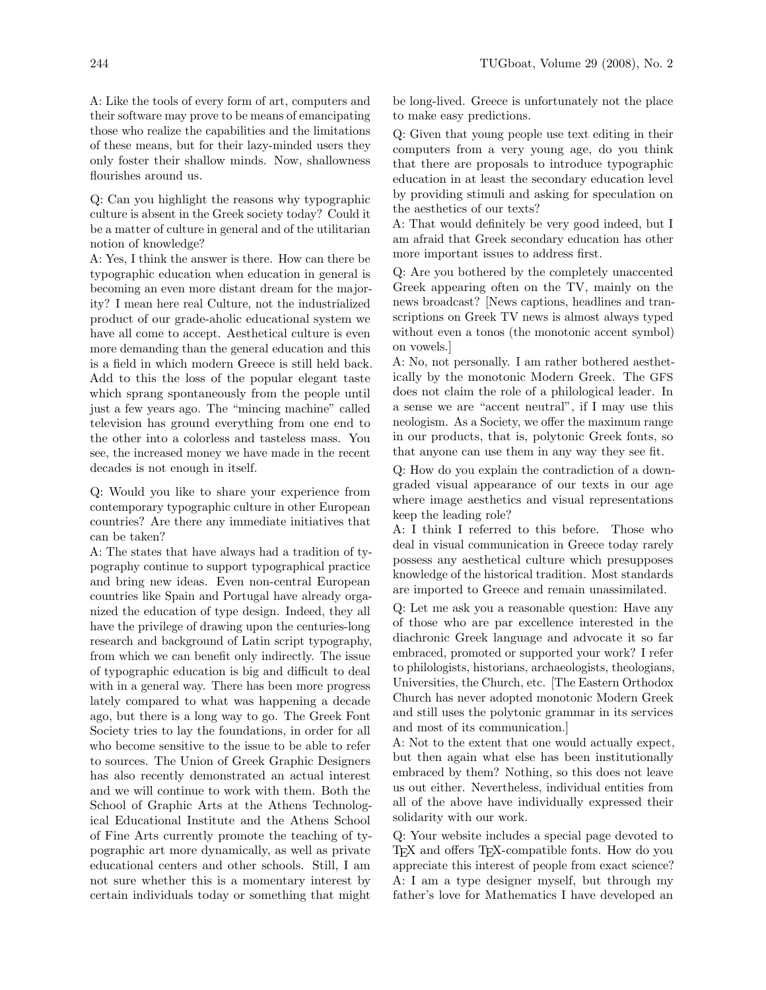A: Like the tools of every form of art, computers and their software may prove to be means of emancipating those who realize the capabilities and the limitations of these means, but for their lazy-minded users they only foster their shallow minds. Now, shallowness flourishes around us.

Q: Can you highlight the reasons why typographic culture is absent in the Greek society today? Could it be a matter of culture in general and of the utilitarian notion of knowledge?

A: Yes, I think the answer is there. How can there be typographic education when education in general is becoming an even more distant dream for the majority? I mean here real Culture, not the industrialized product of our grade-aholic educational system we have all come to accept. Aesthetical culture is even more demanding than the general education and this is a field in which modern Greece is still held back. Add to this the loss of the popular elegant taste which sprang spontaneously from the people until just a few years ago. The "mincing machine" called television has ground everything from one end to the other into a colorless and tasteless mass. You see, the increased money we have made in the recent decades is not enough in itself.

Q: Would you like to share your experience from contemporary typographic culture in other European countries? Are there any immediate initiatives that can be taken?

A: The states that have always had a tradition of typography continue to support typographical practice and bring new ideas. Even non-central European countries like Spain and Portugal have already organized the education of type design. Indeed, they all have the privilege of drawing upon the centuries-long research and background of Latin script typography, from which we can benefit only indirectly. The issue of typographic education is big and difficult to deal with in a general way. There has been more progress lately compared to what was happening a decade ago, but there is a long way to go. The Greek Font Society tries to lay the foundations, in order for all who become sensitive to the issue to be able to refer to sources. The Union of Greek Graphic Designers has also recently demonstrated an actual interest and we will continue to work with them. Both the School of Graphic Arts at the Athens Technological Educational Institute and the Athens School of Fine Arts currently promote the teaching of typographic art more dynamically, as well as private educational centers and other schools. Still, I am not sure whether this is a momentary interest by certain individuals today or something that might

be long-lived. Greece is unfortunately not the place to make easy predictions.

Q: Given that young people use text editing in their computers from a very young age, do you think that there are proposals to introduce typographic education in at least the secondary education level by providing stimuli and asking for speculation on the aesthetics of our texts?

A: That would definitely be very good indeed, but I am afraid that Greek secondary education has other more important issues to address first.

Q: Are you bothered by the completely unaccented Greek appearing often on the TV, mainly on the news broadcast? [News captions, headlines and transcriptions on Greek TV news is almost always typed without even a tonos (the monotonic accent symbol) on vowels.]

A: No, not personally. I am rather bothered aesthetically by the monotonic Modern Greek. The GFS does not claim the role of a philological leader. In a sense we are "accent neutral", if I may use this neologism. As a Society, we offer the maximum range in our products, that is, polytonic Greek fonts, so that anyone can use them in any way they see fit.

Q: How do you explain the contradiction of a downgraded visual appearance of our texts in our age where image aesthetics and visual representations keep the leading role?

A: I think I referred to this before. Those who deal in visual communication in Greece today rarely possess any aesthetical culture which presupposes knowledge of the historical tradition. Most standards are imported to Greece and remain unassimilated.

Q: Let me ask you a reasonable question: Have any of those who are par excellence interested in the diachronic Greek language and advocate it so far embraced, promoted or supported your work? I refer to philologists, historians, archaeologists, theologians, Universities, the Church, etc. [The Eastern Orthodox Church has never adopted monotonic Modern Greek and still uses the polytonic grammar in its services and most of its communication.]

A: Not to the extent that one would actually expect, but then again what else has been institutionally embraced by them? Nothing, so this does not leave us out either. Nevertheless, individual entities from all of the above have individually expressed their solidarity with our work.

Q: Your website includes a special page devoted to TEX and offers TEX-compatible fonts. How do you appreciate this interest of people from exact science? A: I am a type designer myself, but through my father's love for Mathematics I have developed an